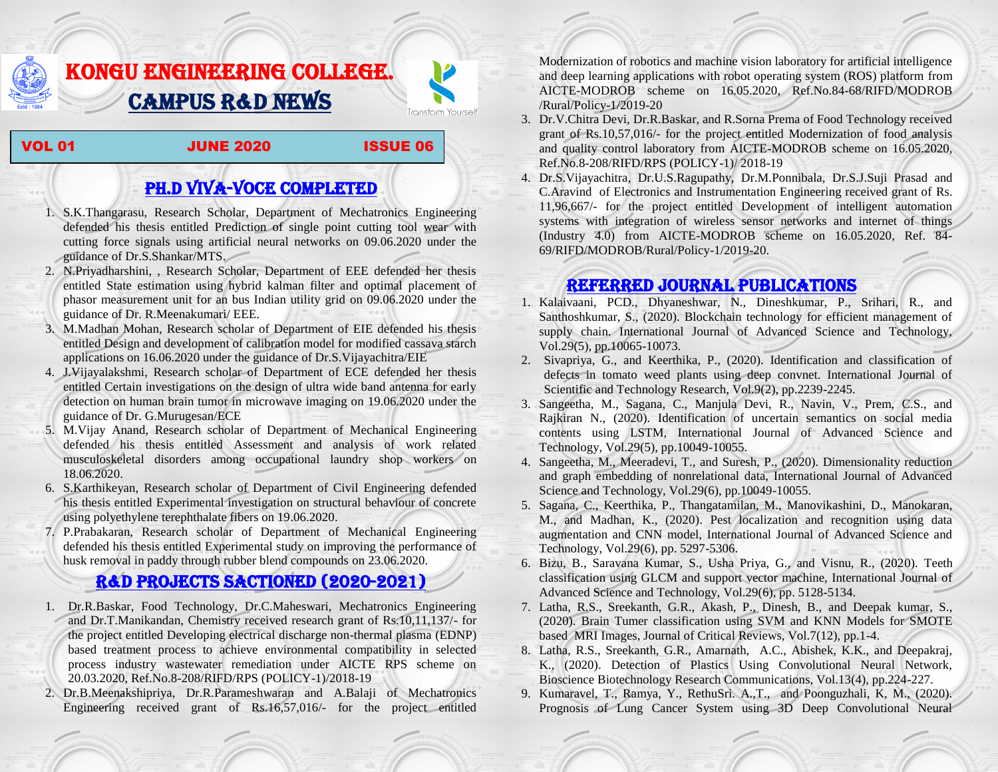## KONGU ENGINEERING COLLEGE. CAMPUS R&D NEWS

VOL 01 JUNE 2020 ISSUE 06

Transform Yourself

## PH.D VIVA-VOCE COMPLETED

- 1. S.K.Thangarasu, Research Scholar, Department of Mechatronics Engineering defended his thesis entitled Prediction of single point cutting tool wear with cutting force signals using artificial neural networks on 09.06.2020 under the guidance of Dr.S.Shankar/MTS.
- 2. N.Priyadharshini, , Research Scholar, Department of EEE defended her thesis entitled State estimation using hybrid kalman filter and optimal placement of phasor measurement unit for an bus Indian utility grid on 09.06.2020 under the guidance of Dr. R.Meenakumari/ EEE.
- 3. M.Madhan Mohan, Research scholar of Department of EIE defended his thesis entitled Design and development of calibration model for modified cassava starch applications on 16.06.2020 under the guidance of Dr.S.Vijayachitra/EIE
- 4. J.Vijayalakshmi, Research scholar of Department of ECE defended her thesis entitled Certain investigations on the design of ultra wide band antenna for early detection on human brain tumor in microwave imaging on 19.06.2020 under the guidance of Dr. G.Murugesan/ECE
- 5. M.Vijay Anand, Research scholar of Department of Mechanical Engineering defended his thesis entitled Assessment and analysis of work related musculoskeletal disorders among occupational laundry shop workers on 18.06.2020.
- 6. S.Karthikeyan, Research scholar of Department of Civil Engineering defended his thesis entitled Experimental investigation on structural behaviour of concrete using polyethylene terephthalate fibers on 19.06.2020.
- 7. P.Prabakaran, Research scholar of Department of Mechanical Engineering defended his thesis entitled Experimental study on improving the performance of husk removal in paddy through rubber blend compounds on 23.06.2020.

## R&D PROJECTS SACTIONED (2020-2021)

- 1. Dr.R.Baskar, Food Technology, Dr.C.Maheswari, Mechatronics Engineering and Dr.T.Manikandan, Chemistry received research grant of Rs.10,11,137/- for the project entitled Developing electrical discharge non-thermal plasma (EDNP) based treatment process to achieve environmental compatibility in selected process industry wastewater remediation under AICTE RPS scheme on 20.03.2020, Ref.No.8-208/RIFD/RPS (POLICY-1)/2018-19
- 2. Dr.B.Meenakshipriya, Dr.R.Parameshwaran and A.Balaji of Mechatronics Engineering received grant of Rs.16,57,016/- for the project entitled

[Modernization of robotics and machine vision laboratory for artificial intelligence](http://rnd.kongu.edu/ractivities/mts/data/)  [and deep learning applications with robot operating system \(ROS\) platform](http://rnd.kongu.edu/ractivities/mts/data/) from AICTE-MODROB scheme on 16.05.2020, Ref.No.84-68/RIFD/MODROB /Rural/Policy-1/2019-20

3. Dr.V.Chitra Devi, Dr.R.Baskar, and R.Sorna Prema of Food Technology received grant of Rs.10,57,016/- for the project entitled Modernization of food analysis and quality control laboratory from AICTE-MODROB scheme on 16.05.2020, Ref.No.8-208/RIFD/RPS (POLICY-1)/ 2018-19

4. Dr.S.Vijayachitra, Dr.U.S.Ragupathy, Dr.M.Ponnibala, Dr.S.J.Suji Prasad and C.Aravind of Electronics and Instrumentation Engineering received grant of Rs. 11,96,667/- for the project entitled Development of intelligent automation systems with integration of wireless sensor networks and internet of things (Industry 4.0) from AICTE-MODROB scheme on 16.05.2020, Ref. 84- 69/RIFD/MODROB/Rural/Policy-1/2019-20.

## Referred JOURNAL publications

- 1. Kalaivaani, PCD., Dhyaneshwar, N., Dineshkumar, P., Srihari, R., and Santhoshkumar, S., (2020). Blockchain technology for efficient management of supply chain. International Journal of Advanced Science and Technology, Vol.29(5), pp.10065-10073.
- 2. Sivapriya, G., and Keerthika, P., (2020). Identification and classification of defects in tomato weed plants using deep convnet. International Journal of Scientific and Technology Research, Vol.9(2), pp.2239-2245.
- 3. Sangeetha, M., Sagana, C., Manjula Devi, R., Navin, V., Prem, C.S., and Rajkiran N., (2020). Identification of uncertain semantics on social media contents using LSTM, International Journal of Advanced Science and Technology, Vol.29(5), pp.10049-10055.
- 4. Sangeetha, M., Meeradevi, T., and Suresh, P., (2020). Dimensionality reduction and graph embedding of nonrelational data, International Journal of Advanced Science and Technology, Vol.29(6), pp.10049-10055.
- 5. Sagana, C., Keerthika, P., Thangatamilan, M., Manovikashini, D., Manokaran, M., and Madhan, K., (2020). Pest localization and recognition using data augmentation and CNN model, International Journal of Advanced Science and Technology, Vol.29(6), pp. 5297-5306.
- 6. Bizu, B., Saravana Kumar, S., Usha Priya, G., and Visnu, R., (2020). Teeth classification using GLCM and support vector machine, International Journal of Advanced Science and Technology, Vol.29(6), pp. 5128-5134.
- 7. Latha, R.S., Sreekanth, G.R., Akash, P., Dinesh, B., and Deepak kumar, S., (2020). Brain Tumer classification using SVM and KNN Models for SMOTE based MRI Images, Journal of Critical Reviews, Vol.7(12), pp.1-4.
- 8. Latha, R.S., Sreekanth, G.R., Amarnath, A.C., Abishek, K.K., and Deepakraj, K., (2020). Detection of Plastics Using Convolutional Neural Network, Bioscience Biotechnology Research Communications, Vol.13(4), pp.224-227.
- 9. Kumaravel, T., Ramya, Y., RethuSri. A.,T., and Poonguzhali, K, M., (2020). Prognosis of Lung Cancer System using 3D Deep Convolutional Neural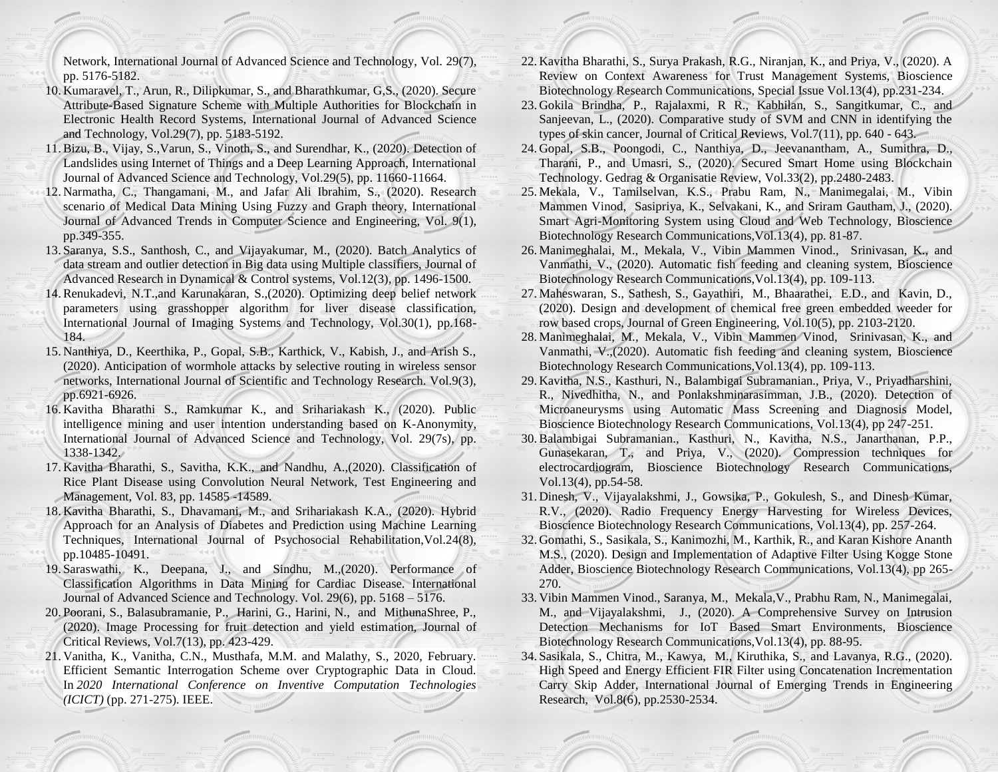Network, International Journal of Advanced Science and Technology, Vol. 29(7), pp. 5176-5182.

- 10. Kumaravel, T., Arun, R., Dilipkumar, S., and Bharathkumar, G,S., (2020). Secure Attribute-Based Signature Scheme with Multiple Authorities for Blockchain in Electronic Health Record Systems, International Journal of Advanced Science and Technology, Vol.29(7), pp. 5183-5192.
- 11.Bizu, B., Vijay, S.,Varun, S., Vinoth, S., and Surendhar, K., (2020). Detection of Landslides using Internet of Things and a Deep Learning Approach, International Journal of Advanced Science and Technology, Vol.29(5), pp. 11660-11664.
- 12. Narmatha, C., Thangamani, M., and Jafar Ali Ibrahim, S., (2020). Research scenario of Medical Data Mining Using Fuzzy and Graph theory, International Journal of Advanced Trends in Computer Science and Engineering, Vol. 9(1), pp.349-355.
- 13. Saranya, S.S., Santhosh, C., and Vijayakumar, M., (2020). Batch Analytics of data stream and outlier detection in Big data using Multiple classifiers, Journal of Advanced Research in Dynamical & Control systems, Vol.12(3), pp. 1496-1500.
- 14.Renukadevi, N.T.,and Karunakaran, S.,(2020). Optimizing deep belief network parameters using grasshopper algorithm for liver disease classification, International Journal of Imaging Systems and Technology, Vol.30(1), pp.168- 184.
- 15. Nanthiya, D., Keerthika, P., Gopal, S.B., Karthick, V., Kabish, J., and Arish S., (2020). Anticipation of wormhole attacks by selective routing in wireless sensor networks, International Journal of Scientific and Technology Research. Vol.9(3), pp.6921-6926.
- 16. Kavitha Bharathi S., Ramkumar K., and Srihariakash K., (2020). Public intelligence mining and user intention understanding based on K-Anonymity, International Journal of Advanced Science and Technology, Vol. 29(7s), pp. 1338-1342.
- 17. Kavitha Bharathi, S., Savitha, K.K., and Nandhu, A.,(2020). Classification of Rice Plant Disease using Convolution Neural Network, Test Engineering and Management, Vol. 83, pp. 14585 -14589.
- 18. Kavitha Bharathi, S., Dhavamani, M., and Srihariakash K.A., (2020). Hybrid Approach for an Analysis of Diabetes and Prediction using Machine Learning Techniques, International Journal of Psychosocial Rehabilitation,Vol.24(8), pp.10485-10491.
- 19. Saraswathi, K., Deepana, J., and Sindhu, M.,(2020). Performance of Classification Algorithms in Data Mining for Cardiac Disease. International Journal of Advanced Science and Technology. Vol. 29(6), pp. 5168 – 5176.
- 20. Poorani, S., Balasubramanie, P., Harini, G., Harini, N., and MithunaShree, P., (2020). Image Processing for fruit detection and yield estimation, Journal of Critical Reviews, Vol.7(13), pp. 423-429.
- 21. Vanitha, K., Vanitha, C.N., Musthafa, M.M. and Malathy, S., 2020, February. Efficient Semantic Interrogation Scheme over Cryptographic Data in Cloud. In *2020 International Conference on Inventive Computation Technologies (ICICT)* (pp. 271-275). IEEE.
- 22. Kavitha Bharathi, S., Surya Prakash, R.G., Niranjan, K., and Priya, V., (2020). A Review on Context Awareness for Trust Management Systems, Bioscience Biotechnology Research Communications, Special Issue Vol.13(4), pp.231-234.
- 23. Gokila Brindha, P., Rajalaxmi, R R., Kabhilan, S., Sangitkumar, C., and Sanjeevan, L., (2020). Comparative study of SVM and CNN in identifying the types of skin cancer, Journal of Critical Reviews, Vol.7(11), pp. 640 - 643.
- 24. Gopal, S.B., Poongodi, C., Nanthiya, D., Jeevanantham, A., Sumithra, D., Tharani, P., and Umasri, S., (2020). Secured Smart Home using Blockchain Technology. Gedrag & Organisatie Review, Vol.33(2), pp.2480-2483.
- 25. Mekala, V., Tamilselvan, K.S., Prabu Ram, N., Manimegalai, M., Vibin Mammen Vinod, Sasipriya, K., Selvakani, K., and Sriram Gautham, J., (2020). Smart Agri-Monitoring System using Cloud and Web Technology, Bioscience Biotechnology Research Communications,Vol.13(4), pp. 81-87.
- 26. Manimeghalai, M., Mekala, V., Vibin Mammen Vinod., Srinivasan, K., and Vanmathi, V., (2020). Automatic fish feeding and cleaning system, Bioscience Biotechnology Research Communications,Vol.13(4), pp. 109-113.
- 27. Maheswaran, S., Sathesh, S., Gayathiri, M., Bhaarathei, E.D., and Kavin, D., (2020). Design and development of chemical free green embedded weeder for row based crops, Journal of Green Engineering, Vol.10(5), pp. 2103-2120.
- 28. Manimeghalai, M., Mekala, V., Vibin Mammen Vinod, Srinivasan, K., and Vanmathi, V.,(2020). Automatic fish feeding and cleaning system, Bioscience Biotechnology Research Communications,Vol.13(4), pp. 109-113.
- 29. Kavitha, N.S., Kasthuri, N., Balambigai Subramanian., Priya, V., Priyadharshini, R., Nivedhitha, N., and Ponlakshminarasimman, J.B., (2020). Detection of Microaneurysms using Automatic Mass Screening and Diagnosis Model, Bioscience Biotechnology Research Communications, Vol.13(4), pp 247-251.
- 30.Balambigai Subramanian., Kasthuri, N., Kavitha, N.S., Janarthanan, P.P., Gunasekaran, T., and Priya, V., (2020). Compression techniques for electrocardiogram, Bioscience Biotechnology Research Communications, Vol.13(4), pp.54-58.
- 31. Dinesh, V., Vijayalakshmi, J., Gowsika, P., Gokulesh, S., and Dinesh Kumar, R.V., (2020). Radio Frequency Energy Harvesting for Wireless Devices, Bioscience Biotechnology Research Communications, Vol.13(4), pp. 257-264.
- 32. Gomathi, S., Sasikala, S., Kanimozhi, M., Karthik, R., and Karan Kishore Ananth M.S., (2020). Design and Implementation of Adaptive Filter Using Kogge Stone Adder, Bioscience Biotechnology Research Communications, Vol.13(4), pp 265- 270.
- 33. Vibin Mammen Vinod., Saranya, M., Mekala,V., Prabhu Ram, N., Manimegalai, M., and Vijayalakshmi, J., (2020). A Comprehensive Survey on Intrusion Detection Mechanisms for IoT Based Smart Environments, Bioscience Biotechnology Research Communications,Vol.13(4), pp. 88-95.
- 34. Sasikala, S., Chitra, M., Kawya, M., Kiruthika, S., and Lavanya, R.G., (2020). High Speed and Energy Efficient FIR Filter using Concatenation Incrementation Carry Skip Adder, International Journal of Emerging Trends in Engineering Research, Vol.8(6), pp.2530-2534.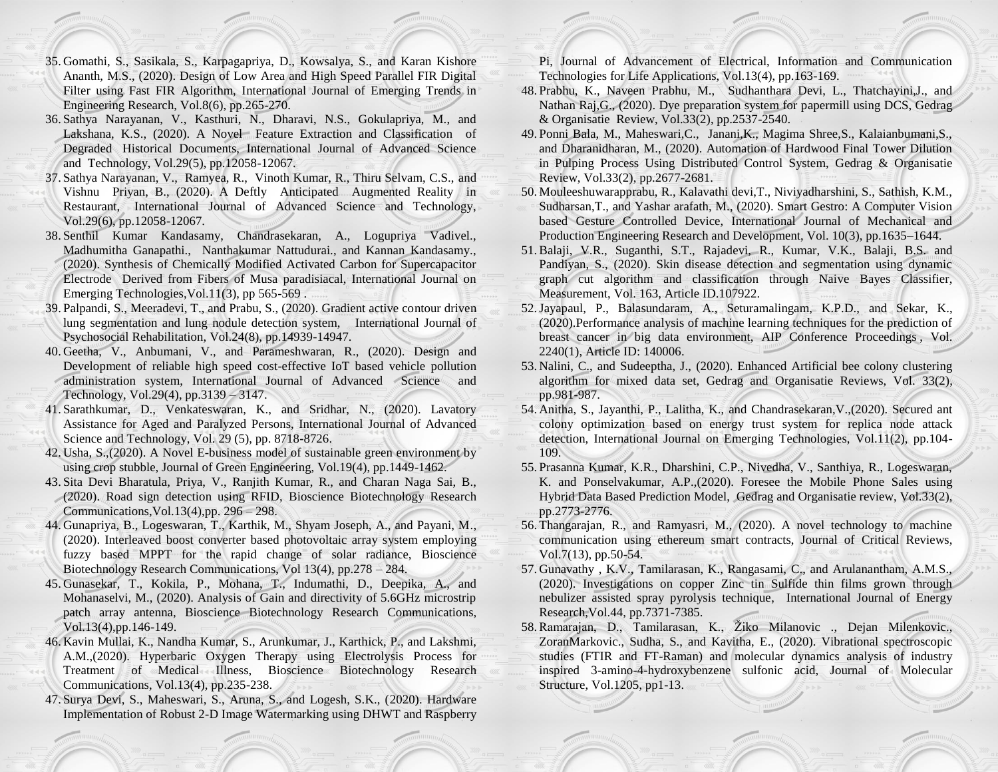- 35. Gomathi, S., Sasikala, S., Karpagapriya, D., Kowsalya, S., and Karan Kishore Ananth, M.S., (2020). Design of Low Area and High Speed Parallel FIR Digital Filter using Fast FIR Algorithm, International Journal of Emerging Trends in Engineering Research, Vol.8(6), pp.265-270.
- 36. Sathya Narayanan, V., Kasthuri, N., Dharavi, N.S., Gokulapriya, M., and Lakshana, K.S., (2020). A Novel Feature Extraction and Classification of Degraded Historical Documents, International Journal of Advanced Science and Technology, Vol.29(5), pp.12058-12067.
- 37. Sathya Narayanan, V., Ramyea, R., Vinoth Kumar, R., Thiru Selvam, C.S., and Vishnu Priyan, B., (2020). A Deftly Anticipated Augmented Reality in Restaurant, International Journal of Advanced Science and Technology, Vol.29(6), pp.12058-12067.
- 38. Senthil Kumar Kandasamy, Chandrasekaran, A., Logupriya Vadivel., Madhumitha Ganapathi., Nanthakumar Nattudurai., and Kannan Kandasamy., (2020). Synthesis of Chemically Modified Activated Carbon for Supercapacitor Electrode Derived from Fibers of Musa paradisiacal, International Journal on Emerging Technologies,Vol.11(3), pp 565-569 .
- 39. Palpandi, S., Meeradevi, T., and Prabu, S., (2020). Gradient active contour driven lung segmentation and lung nodule detection system, International Journal of Psychosocial Rehabilitation, Vol.24(8), pp.14939-14947.
- 40. Geetha, V., Anbumani, V., and Parameshwaran, R., (2020). Design and Development of reliable high speed cost-effective IoT based vehicle pollution administration system, International Journal of Advanced Science and Technology, Vol.29(4), pp.3139 – 3147.
- 41. Sarathkumar, D., Venkateswaran, K., and Sridhar, N., (2020). Lavatory Assistance for Aged and Paralyzed Persons, International Journal of Advanced Science and Technology, Vol. 29 (5), pp. 8718-8726.
- 42. Usha, S.,(2020). A Novel E-business model of sustainable green environment by using crop stubble, Journal of Green Engineering, Vol.19(4), pp.1449-1462.
- 43. Sita Devi Bharatula, Priya, V., Ranjith Kumar, R., and Charan Naga Sai, B., (2020). Road sign detection using RFID, Bioscience Biotechnology Research Communications,Vol.13(4),pp. 296 – 298.
- 44. Gunapriya, B., Logeswaran, T., Karthik, M., Shyam Joseph, A., and Payani, M., (2020). Interleaved boost converter based photovoltaic array system employing fuzzy based MPPT for the rapid change of solar radiance, Bioscience Biotechnology Research Communications, Vol 13(4), pp.278 – 284.
- 45. Gunasekar, T., Kokila, P., Mohana, T., Indumathi, D., Deepika, A., and Mohanaselvi, M., (2020). Analysis of Gain and directivity of 5.6GHz microstrip patch array antenna, Bioscience Biotechnology Research Communications, Vol.13(4),pp.146-149.
- 46. Kavin Mullai, K., Nandha Kumar, S., Arunkumar, J., Karthick, P., and Lakshmi, A.M.,(2020). Hyperbaric Oxygen Therapy using Electrolysis Process for Treatment of Medical Illness, Bioscience Biotechnology Research Communications, Vol.13(4), pp.235-238.
- 47. Surya Devi, S., Maheswari, S., Aruna, S., and Logesh, S.K., (2020). Hardware Implementation of Robust 2-D Image Watermarking using DHWT and Raspberry

Pi, Journal of Advancement of Electrical, Information and Communication Technologies for Life Applications, Vol.13(4), pp.163-169.

- 48. Prabhu, K., Naveen Prabhu, M., Sudhanthara Devi, L., Thatchayini,J., and Nathan Raj,G., (2020). Dye preparation system for papermill using DCS, Gedrag & Organisatie Review, Vol.33(2), pp.2537-2540.
- 49. Ponni Bala, M., Maheswari,C., Janani,K., Magima Shree,S., Kalaianbumani,S., and Dharanidharan, M., (2020). Automation of Hardwood Final Tower Dilution in Pulping Process Using Distributed Control System, Gedrag & Organisatie Review, Vol.33(2), pp.2677-2681.
- 50. Mouleeshuwarapprabu, R., Kalavathi devi,T., Niviyadharshini, S., Sathish, K.M., Sudharsan,T., and Yashar arafath, M., (2020). Smart Gestro: A Computer Vision based Gesture Controlled Device, International Journal of Mechanical and Production Engineering Research and Development, Vol. 10(3), pp.1635–1644.
- 51.Balaji, V.R., Suganthi, S.T., Rajadevi, R., Kumar, V.K., Balaji, B.S. and Pandiyan, S., (2020). Skin disease detection and segmentation using dynamic graph cut algorithm and classification through Naive Bayes Classifier, Measurement, Vol. 163, Article ID.107922.
- 52.Jayapaul, P., Balasundaram, A., Seturamalingam, K.P.D., and Sekar, K., (2020).Performance analysis of machine learning techniques for the prediction of breast cancer in big data environment, AIP Conference Proceedings , Vol. 2240(1), Article ID: 140006.
- 53. Nalini, C., and Sudeeptha, J., (2020). Enhanced Artificial bee colony clustering algorithm for mixed data set, Gedrag and Organisatie Reviews, Vol. 33(2), pp.981-987.
- 54. Anitha, S., Jayanthi, P., Lalitha, K., and Chandrasekaran,V.,(2020). Secured ant colony optimization based on energy trust system for replica node attack detection, International Journal on Emerging Technologies, Vol.11(2), pp.104- 109.
- 55. Prasanna Kumar, K.R., Dharshini, C.P., Nivedha, V., Santhiya, R., Logeswaran, K. and Ponselvakumar, A.P.,(2020). Foresee the Mobile Phone Sales using Hybrid Data Based Prediction Model, Gedrag and Organisatie review, Vol.33(2), pp.2773-2776.
- 56. Thangarajan, R., and Ramyasri, M., (2020). A novel technology to machine communication using ethereum smart contracts, Journal of Critical Reviews, Vol.7(13), pp.50-54.
- 57. Gunavathy , K.V., Tamilarasan, K., Rangasami, C., and Arulanantham, A.M.S., (2020). Investigations on copper Zinc tin Sulfide thin films grown through nebulizer assisted spray pyrolysis technique, International Journal of Energy Research,Vol.44, pp.7371-7385.
- 58.Ramarajan, D., Tamilarasan, K., Žiko Milanovic ., Dejan Milenkovic., ZoranMarkovic., Sudha, S., and Kavitha, E., (2020). Vibrational spectroscopic studies (FTIR and FT-Raman) and molecular dynamics analysis of industry inspired 3-amino-4-hydroxybenzene sulfonic acid, Journal of Molecular Structure, Vol.1205, pp1-13.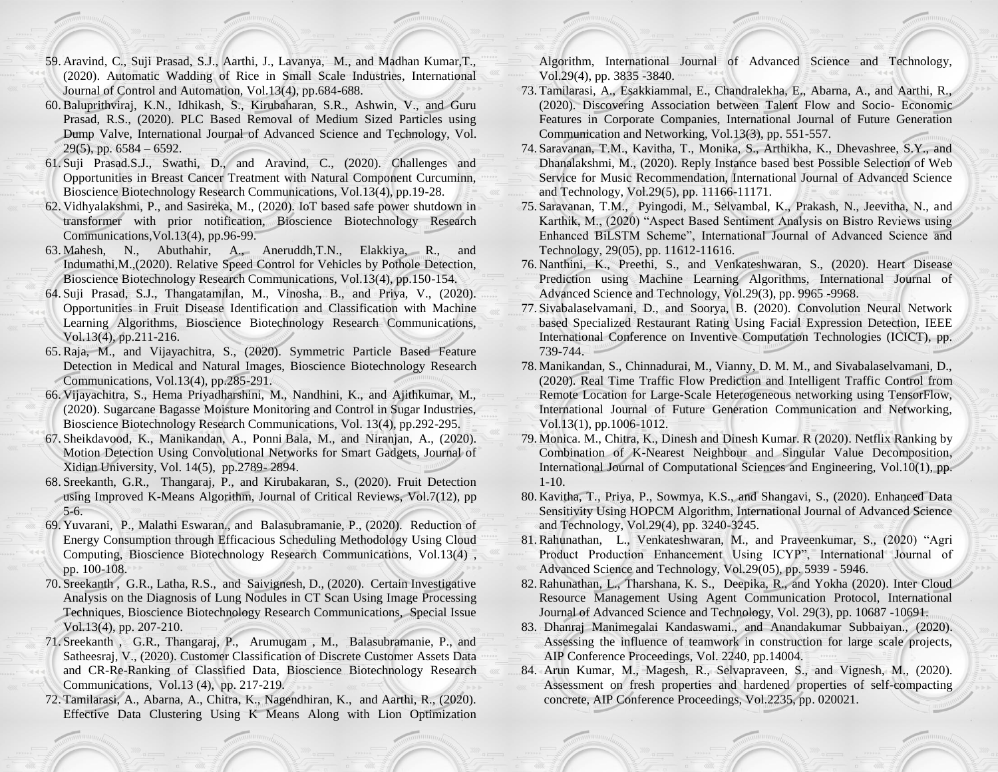- 59. Aravind, C., Suji Prasad, S.J., Aarthi, J., Lavanya, M., and Madhan Kumar,T., (2020). Automatic Wadding of Rice in Small Scale Industries, International Journal of Control and Automation, Vol.13(4), pp.684-688.
- 60.Baluprithviraj, K.N., Idhikash, S., Kirubaharan, S.R., Ashwin, V., and Guru Prasad, R.S., (2020). PLC Based Removal of Medium Sized Particles using Dump Valve, International Journal of Advanced Science and Technology, Vol. 29(5), pp.  $6584 - 6592$ .
- 61. Suji Prasad.S.J., Swathi, D., and Aravind, C., (2020). Challenges and Opportunities in Breast Cancer Treatment with Natural Component Curcuminn, Bioscience Biotechnology Research Communications, Vol.13(4), pp.19-28.
- 62. Vidhyalakshmi, P., and Sasireka, M., (2020). IoT based safe power shutdown in transformer with prior notification, Bioscience Biotechnology Research Communications,Vol.13(4), pp.96-99.
- 63. Mahesh, N., Abuthahir, A., Aneruddh,T.N., Elakkiya, R., and Indumathi,M.,(2020). Relative Speed Control for Vehicles by Pothole Detection, Bioscience Biotechnology Research Communications, Vol.13(4), pp.150-154.
- 64. Suji Prasad, S.J., Thangatamilan, M., Vinosha, B., and Priya, V., (2020). Opportunities in Fruit Disease Identification and Classification with Machine Learning Algorithms, Bioscience Biotechnology Research Communications, Vol.13(4), pp.211-216.
- 65.Raja, M., and Vijayachitra, S., (2020). Symmetric Particle Based Feature Detection in Medical and Natural Images, Bioscience Biotechnology Research Communications, Vol.13(4), pp.285-291.
- 66. Vijayachitra, S., Hema Priyadharshini, M., Nandhini, K., and Ajithkumar, M., (2020). Sugarcane Bagasse Moisture Monitoring and Control in Sugar Industries, Bioscience Biotechnology Research Communications, Vol. 13(4), pp.292-295.
- 67. Sheikdavood, K., Manikandan, A., Ponni Bala, M., and Niranjan, A., (2020). Motion Detection Using Convolutional Networks for Smart Gadgets, Journal of Xidian University, Vol. 14(5), pp.2789- 2894.
- 68. Sreekanth, G.R., Thangaraj, P., and Kirubakaran, S., (2020). Fruit Detection using Improved K-Means Algorithm, Journal of Critical Reviews, Vol.7(12), pp 5-6.
- 69. Yuvarani, P., Malathi Eswaran., and Balasubramanie, P., (2020). Reduction of Energy Consumption through Efficacious Scheduling Methodology Using Cloud Computing, Bioscience Biotechnology Research Communications, Vol.13(4) , pp. 100-108.
- 70. Sreekanth , G.R., Latha, R.S., and Saivignesh, D., (2020). Certain Investigative Analysis on the Diagnosis of Lung Nodules in CT Scan Using Image Processing Techniques, Bioscience Biotechnology Research Communications, Special Issue Vol.13(4), pp. 207-210.
- 71. Sreekanth , G.R., Thangaraj, P., Arumugam , M., Balasubramanie, P., and Satheesraj, V., (2020). Customer Classification of Discrete Customer Assets Data and CR-Re-Ranking of Classified Data, Bioscience Biotechnology Research Communications, Vol.13 (4), pp. 217-219.
- 72. Tamilarasi, A., Abarna, A., Chitra, K., Nagendhiran, K., and Aarthi, R., (2020). Effective Data Clustering Using K Means Along with Lion Optimization

Algorithm, International Journal of Advanced Science and Technology, Vol.29(4), pp. 3835 -3840.

- 73. Tamilarasi, A., Esakkiammal, E., Chandralekha, E., Abarna, A., and Aarthi, R., (2020). Discovering Association between Talent Flow and Socio- Economic Features in Corporate Companies, International Journal of Future Generation Communication and Networking, Vol.13(3), pp. 551-557.
- 74. Saravanan, T.M., Kavitha, T., Monika, S., Arthikha, K., Dhevashree, S.Y., and Dhanalakshmi, M., (2020). Reply Instance based best Possible Selection of Web Service for Music Recommendation, International Journal of Advanced Science and Technology, Vol.29(5), pp. 11166-11171.
- 75. Saravanan, T.M., Pyingodi, M., Selvambal, K., Prakash, N., Jeevitha, N., and Karthik, M., (2020) "Aspect Based Sentiment Analysis on Bistro Reviews using Enhanced BiLSTM Scheme", International Journal of Advanced Science and Technology, 29(05), pp. 11612-11616.
- 76. Nanthini, K., Preethi, S., and Venkateshwaran, S., (2020). Heart Disease Prediction using Machine Learning Algorithms, International Journal of Advanced Science and Technology, Vol.29(3), pp. 9965 -9968.
- 77. Sivabalaselvamani, D., and Soorya, B. (2020). Convolution Neural Network based Specialized Restaurant Rating Using Facial Expression Detection, IEEE International Conference on Inventive Computation Technologies (ICICT), pp. 739-744.
- 78. Manikandan, S., Chinnadurai, M., Vianny, D. M. M., and Sivabalaselvamani, D., (2020). Real Time Traffic Flow Prediction and Intelligent Traffic Control from Remote Location for Large-Scale Heterogeneous networking using TensorFlow, International Journal of Future Generation Communication and Networking, Vol.13(1), pp.1006-1012.
- 79. Monica. M., Chitra, K., Dinesh and Dinesh Kumar. R (2020). Netflix Ranking by Combination of K-Nearest Neighbour and Singular Value Decomposition, International Journal of Computational Sciences and Engineering, Vol.10(1), pp. 1-10.
- 80. Kavitha, T., Priya, P., Sowmya, K.S., and Shangavi, S., (2020). Enhanced Data Sensitivity Using HOPCM Algorithm, International Journal of Advanced Science and Technology, Vol.29(4), pp. 3240-3245.
- 81.Rahunathan, L., Venkateshwaran, M., and Praveenkumar, S., (2020) "Agri Product Production Enhancement Using ICYP", International Journal of Advanced Science and Technology, Vol.29(05), pp. 5939 - 5946.
- 82.Rahunathan, L., Tharshana, K. S., Deepika, R., and Yokha (2020). Inter Cloud Resource Management Using Agent Communication Protocol, International Journal of Advanced Science and Technology, Vol. 29(3), pp. 10687 -10691.
- 83. Dhanraj Manimegalai Kandaswami., and Anandakumar Subbaiyan., (2020). Assessing the influence of teamwork in construction for large scale projects, AIP Conference Proceedings, Vol. 2240, pp.14004.
- 84. Arun Kumar, M., Magesh, R., Selvapraveen, S., and Vignesh, M., (2020). Assessment on fresh properties and hardened properties of self-compacting concrete, AIP Conference Proceedings, Vol.2235, pp. 020021.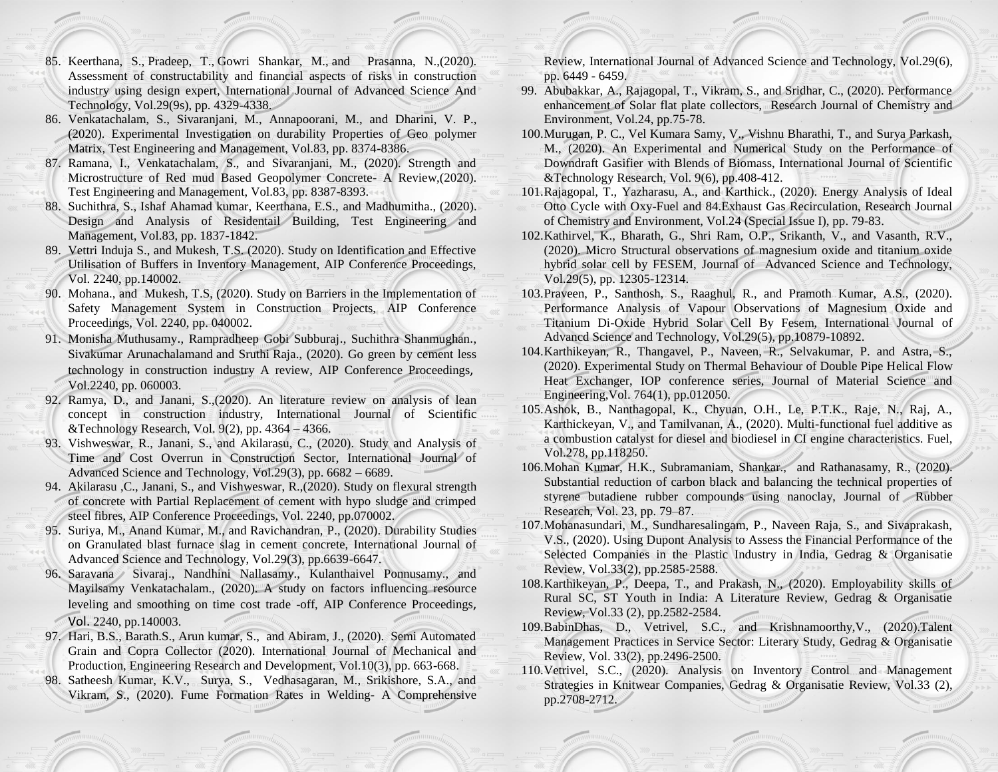- 85. Keerthana, S., Pradeep, T., Gowri Shankar, M., and Prasanna, N.,(2020). Assessment of constructability and financial aspects of risks in construction industry using design expert, International Journal of Advanced Science And Technology, Vol.29(9s), pp. 4329-4338.
- 86. Venkatachalam, S., Sivaranjani, M., Annapoorani, M., and Dharini, V. P., (2020). Experimental Investigation on durability Properties of Geo polymer Matrix, Test Engineering and Management, Vol.83, pp. 8374-8386.
- 87. Ramana, I., Venkatachalam, S., and Sivaranjani, M., (2020). Strength and Microstructure of Red mud Based Geopolymer Concrete- A Review,(2020). Test Engineering and Management, Vol.83, pp. 8387-8393.
- 88. Suchithra, S., Ishaf Ahamad kumar, Keerthana, E.S., and Madhumitha., (2020). Design and Analysis of Residentail Building, Test Engineering and Management, Vol.83, pp. 1837-1842.
- 89. Vettri Induja S., and Mukesh, T.S. (2020). Study on Identification and Effective Utilisation of Buffers in Inventory Management, AIP Conference Proceedings, Vol. 2240, pp.140002.
- 90. Mohana., and Mukesh, T.S, (2020). Study on Barriers in the Implementation of Safety Management System in Construction Projects, AIP Conference Proceedings, Vol. 2240, pp. 040002.
- 91. [Monisha Muthusamy](https://aip.scitation.org/author/Muthusamy%2C+Monisha)., [Rampradheep Gobi Subburaj](https://aip.scitation.org/author/Subburaj%2C+Rampradheep+Gobi)., [Suchithra Shanmughan](https://aip.scitation.org/author/Shanmughan%2C+Suchithra)., [Sivakumar Arunachalama](https://aip.scitation.org/author/Arunachalam%2C+Sivakumar)nd and [Sruthi](https://aip.scitation.org/author/Raja%2C+Sruthi) Raja., (2020). [Go green by cement less](https://aip.scitation.org/doi/abs/10.1063/5.0011071)  [technology in construction industry A review,](https://aip.scitation.org/doi/abs/10.1063/5.0011071) [AIP Conference Proceedings](https://aip.scitation.org/journal/apc), Vol.2240, pp. 060003.
- 92. Ramya, D., and Janani, S.,(2020). An literature review on analysis of lean concept in construction industry, International Journal of Scientific &Technology Research, Vol. 9(2), pp.  $4364 - 4366$ .
- 93. Vishweswar, R., Janani, S., and Akilarasu, C., (2020). Study and Analysis of Time and Cost Overrun in Construction Sector, International Journal of Advanced Science and Technology, Vol.29(3), pp. 6682 – 6689.
- 94. Akilarasu ,C., Janani, S., and Vishweswar, R.,(2020). Study on flexural strength of concrete with Partial Replacement of cement with hypo sludge and crimped steel fibres, AIP Conference Proceedings, Vol. 2240, pp.070002.
- 95. Suriya, M., Anand Kumar, M., and Ravichandran, P., (2020). Durability Studies on Granulated blast furnace slag in cement concrete, International Journal of Advanced Science and Technology, Vol.29(3), pp.6639-6647.
- 96. Saravana Sivaraj., Nandhini Nallasamy., Kulanthaivel Ponnusamy., and Mayilsamy Venkatachalam., (2020). A study on factors influencing resource leveling and smoothing on time cost trade -off, [AIP Conference Proceedings](https://aip.scitation.org/journal/apc), Vol. 2240, pp.140003.
- 97. Hari, B.S., Barath.S., Arun kumar, S., and Abiram, J., (2020). Semi Automated Grain and Copra Collector (2020). International Journal of Mechanical and Production, Engineering Research and Development, Vol.10(3), pp. 663-668.
- 98. Satheesh Kumar, K.V., Surya, S., Vedhasagaran, M., Srikishore, S.A., and Vikram, S., (2020). Fume Formation Rates in Welding- A Comprehensive

Review, International Journal of Advanced Science and Technology, Vol.29(6), pp. 6449 - 6459.

- 99. Abubakkar, A., Rajagopal, T., Vikram, S., and Sridhar, C., (2020). Performance enhancement of Solar flat plate collectors, Research Journal of Chemistry and Environment, Vol.24, pp.75-78.
- 100.Murugan, P. C., Vel Kumara Samy, V., Vishnu Bharathi, T., and Surya Parkash, M., (2020). An Experimental and Numerical Study on the Performance of Downdraft Gasifier with Blends of Biomass, International Journal of Scientific &Technology Research, Vol. 9(6), pp.408-412.
- 101.Rajagopal, T., Yazharasu, A., and Karthick., (2020). Energy Analysis of Ideal Otto Cycle with Oxy-Fuel and 84.Exhaust Gas Recirculation, Research Journal of Chemistry and Environment, Vol.24 (Special Issue I), pp. 79-83.
- 102.Kathirvel, K., Bharath, G., Shri Ram, O.P., Srikanth, V., and Vasanth, R.V., (2020). Micro Structural observations of magnesium oxide and titanium oxide hybrid solar cell by FESEM, Journal of Advanced Science and Technology, Vol.29(5), pp. 12305-12314.
- 103.Praveen, P., Santhosh, S., Raaghul, R., and Pramoth Kumar, A.S., (2020). Performance Analysis of Vapour Observations of Magnesium Oxide and Titanium Di-Oxide Hybrid Solar Cell By Fesem, International Journal of Advancd Science and Technology, Vol.29(5), pp.10879-10892.
- 104.Karthikeyan, R., Thangavel, P., Naveen, R., Selvakumar, P. and Astra, S., (2020). Experimental Study on Thermal Behaviour of Double Pipe Helical Flow Heat Exchanger, IOP conference series, Journal of Material Science and Engineering,Vol. 764(1), pp.012050.
- 105.Ashok, B., Nanthagopal, K., Chyuan, O.H., Le, P.T.K., Raje, N., Raj, A., Karthickeyan, V., and Tamilvanan, A., (2020). Multi-functional fuel additive as a combustion catalyst for diesel and biodiesel in CI engine characteristics. Fuel, Vol.278, pp.118250.
- 106.Mohan Kumar, H.K., Subramaniam, Shankar., and Rathanasamy, R., (2020). Substantial reduction of carbon black and balancing the technical properties of styrene butadiene rubber compounds using nanoclay, Journal of Rubber Research, Vol. 23, pp. 79–87.
- 107.Mohanasundari, M., Sundharesalingam, P., Naveen Raja, S., and Sivaprakash, V.S., (2020). Using Dupont Analysis to Assess the Financial Performance of the Selected Companies in the Plastic Industry in India, Gedrag & Organisatie Review, Vol.33(2), pp.2585-2588.
- 108.Karthikeyan, P., Deepa, T., and Prakash, N., (2020). Employability skills of Rural SC, ST Youth in India: A Literature Review, Gedrag & Organisatie Review, Vol.33 (2), pp.2582-2584.
- 109.BabinDhas, D., Vetrivel, S.C., and Krishnamoorthy,V., (2020).Talent Management Practices in Service Sector: Literary Study, Gedrag & Organisatie Review, Vol. 33(2), pp.2496-2500.
- 110.Vetrivel, S.C., (2020). Analysis on Inventory Control and Management Strategies in Knitwear Companies, Gedrag & Organisatie Review, Vol.33 (2), pp.2708-2712.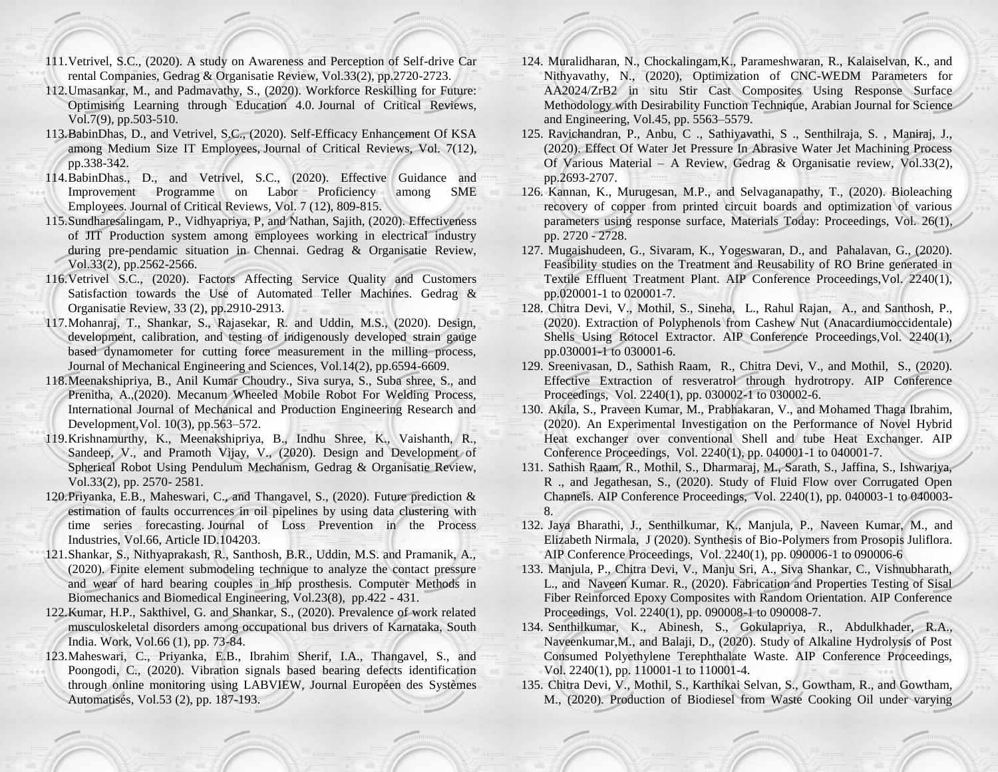- 111.Vetrivel, S.C., (2020). A study on Awareness and Perception of Self-drive Car rental Companies, Gedrag & Organisatie Review, Vol.33(2), pp.2720-2723.
- 112.Umasankar, M., and Padmavathy, S., (2020). Workforce Reskilling for Future: Optimising Learning through Education 4.0. Journal of Critical Reviews, Vol.7(9), pp.503-510.
- 113.BabinDhas, D., and Vetrivel, S.C., (2020). Self-Efficacy Enhancement Of KSA among Medium Size IT Employees, Journal of Critical Reviews, Vol. 7(12), pp.338-342.
- 114.BabinDhas., D., and Vetrivel, S.C., (2020). Effective Guidance and Improvement Programme on Labor Proficiency among SME Employees. Journal of Critical Reviews, Vol. 7 (12), 809-815.
- 115.Sundharesalingam, P., Vidhyapriya, P, and Nathan, Sajith, (2020). Effectiveness of JIT Production system among employees working in electrical industry during pre-pendamic situation in Chennai. Gedrag & Organisatie Review, Vol.33(2), pp.2562-2566.
- 116.Vetrivel S.C., (2020). Factors Affecting Service Quality and Customers Satisfaction towards the Use of Automated Teller Machines. Gedrag & Organisatie Review, 33 (2), pp.2910-2913.
- 117.Mohanraj, T., Shankar, S., Rajasekar, R. and Uddin, M.S., (2020). Design, development, calibration, and testing of indigenously developed strain gauge based dynamometer for cutting force measurement in the milling process, Journal of Mechanical Engineering and Sciences, Vol.14(2), pp.6594-6609.
- 118.Meenakshipriya, B., Anil Kumar Choudry., Siva surya, S., Suba shree, S., and Prenitha, A.,(2020). Mecanum Wheeled Mobile Robot For Welding Process, International Journal of Mechanical and Production Engineering Research and Development,Vol. 10(3), pp.563–572.
- 119.Krishnamurthy, K., Meenakshipriya, B., Indhu Shree, K., Vaishanth, R., Sandeep, V., and Pramoth Vijay, V., (2020). Design and Development of Spherical Robot Using Pendulum Mechanism, Gedrag & Organisatie Review, Vol.33(2), pp. 2570- 2581.
- 120.Priyanka, E.B., Maheswari, C., and Thangavel, S., (2020). Future prediction & estimation of faults occurrences in oil pipelines by using data clustering with time series forecasting. Journal of Loss Prevention in the Process Industries, Vol.66, Article ID.104203.
- 121.Shankar, S., Nithyaprakash, R., Santhosh, B.R., Uddin, M.S. and Pramanik, A., (2020). Finite element submodeling technique to analyze the contact pressure and wear of hard bearing couples in hip prosthesis. Computer Methods in Biomechanics and Biomedical Engineering, Vol.23(8), pp.422 - 431.
- 122.Kumar, H.P., Sakthivel, G. and Shankar, S., (2020). Prevalence of work related musculoskeletal disorders among occupational bus drivers of Karnataka, South India. Work, Vol.66 (1), pp. 73-84.
- 123.Maheswari, C., Priyanka, E.B., Ibrahim Sherif, I.A., Thangavel, S., and Poongodi, C., (2020). Vibration signals based bearing defects identification through online monitoring using LABVIEW, Journal Européen des Systèmes Automatisés, Vol.53 (2), pp. 187-193.
- 124. Muralidharan, N., Chockalingam,K., Parameshwaran, R., Kalaiselvan, K., and Nithyavathy, N., (2020), Optimization of CNC-WEDM Parameters for AA2024/ZrB2 in situ Stir Cast Composites Using Response Surface Methodology with Desirability Function Technique, Arabian Journal for Science and Engineering, Vol.45, pp. 5563–5579.
- 125. Ravichandran, P., Anbu, C ., Sathiyavathi, S ., Senthilraja, S. , Maniraj, J., (2020). Effect Of Water Jet Pressure In Abrasive Water Jet Machining Process Of Various Material – A Review, Gedrag & Organisatie review, Vol.  $33(2)$ , pp.2693-2707.
- 126. Kannan, K., Murugesan, M.P., and Selvaganapathy, T., (2020). Bioleaching recovery of copper from printed circuit boards and optimization of various parameters using response surface, Materials Today: Proceedings, Vol. 26(1), pp. 2720 - 2728.
- 127. Mugaishudeen, G., Sivaram, K., Yogeswaran, D., and Pahalavan, G., (2020). Feasibility studies on the Treatment and Reusability of RO Brine generated in Textile Effluent Treatment Plant. AIP Conference Proceedings, Vol. 2240(1), pp.020001-1 to 020001-7.
- 128. Chitra Devi, V., Mothil, S., Sineha, L., Rahul Rajan, A., and Santhosh, P., (2020). Extraction of Polyphenols from Cashew Nut (Anacardiumoccidentale) Shells Using Rotocel Extractor. AIP Conference Proceedings,Vol. 2240(1), pp.030001-1 to 030001-6.
- 129. Sreenivasan, D., Sathish Raam, R., Chitra Devi, V., and Mothil, S., (2020). Effective Extraction of resveratrol through hydrotropy. AIP Conference Proceedings, Vol. 2240(1), pp. 030002-1 to 030002-6.
- 130. Akila, S., Praveen Kumar, M., Prabhakaran, V., and Mohamed Thaga Ibrahim, (2020). An Experimental Investigation on the Performance of Novel Hybrid Heat exchanger over conventional Shell and tube Heat Exchanger. AIP Conference Proceedings, Vol. 2240(1), pp. 040001-1 to 040001-7.
- 131. Sathish Raam, R., Mothil, S., Dharmaraj, M., Sarath, S., Jaffina, S., Ishwariya, R ., and Jegathesan, S., (2020). Study of Fluid Flow over Corrugated Open Channels. AIP Conference Proceedings, Vol. 2240(1), pp. 040003-1 to 040003-8.
- 132. Jaya Bharathi, J., Senthilkumar, K., Manjula, P., Naveen Kumar, M., and Elizabeth Nirmala, J (2020). Synthesis of Bio-Polymers from Prosopis Juliflora. AIP Conference Proceedings, Vol. 2240(1), pp. 090006-1 to 090006-6
- 133. Manjula, P., Chitra Devi, V., Manju Sri, A., Siva Shankar, C., Vishnubharath, L., and Naveen Kumar. R., (2020). Fabrication and Properties Testing of Sisal Fiber Reinforced Epoxy Composites with Random Orientation. AIP Conference Proceedings, Vol. 2240(1), pp. 090008-1 to 090008-7.
- 134. Senthilkumar, K., Abinesh, S., Gokulapriya, R., Abdulkhader, R.A., Naveenkumar,M., and Balaji, D., (2020). Study of Alkaline Hydrolysis of Post Consumed Polyethylene Terephthalate Waste. AIP Conference Proceedings, Vol. 2240(1), pp. 110001-1 to 110001-4.
- 135. Chitra Devi, V., Mothil, S., Karthikai Selvan, S., Gowtham, R., and Gowtham, M., (2020). Production of Biodiesel from Waste Cooking Oil under varying